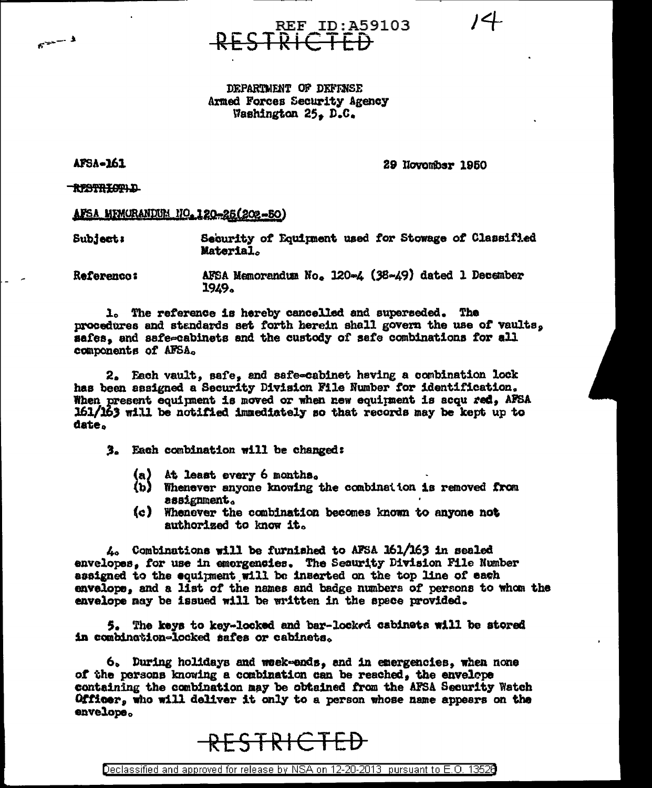$14 -$ 



DEPARTMENT OF DEFINSE Armed Forces Security Agency Washington 25, D.C.

**AFSA-161** 

 $5^{2} - 3$ 

29 November 1950

RESTRICTIL

AFSA MEMORANDUM NO. 120-25(202-50)

Security of Equipment used for Stowage of Classified Subject: Material.

AFSA Memorandum No. 120-4 (38-49) dated 1 December **Referenco:** 1949.

1. The reference is hereby cancelled and superseded. The procedures and standards set forth herein shall govern the use of vaults, safes, and safe-cabinets and the custody of safe combinations for all components of AFSA.

2. Each vault, safe, and safe-cabinet having a combination lock has been assigned a Security Division File Number for identification. When present equipment is moved or when new equipment is acqu red, AFSA 161/163 will be notified immediately so that records may be kept up to date.

3. Each combination will be changed:

- (a) At least every 6 months.
- (b) Whenever anyone knowing the combination is removed from assignment.
- (c) Whenever the combination becomes known to anyone not authorized to know it.

 $\lambda_2$  Combinations will be furnished to AFSA 161/163 in sealed envelopes, for use in emergencies. The Security Division File Number assigned to the equipment will be inserted on the top line of each envelope, and a list of the names and badge numbers of persons to whom the envelope may be issued will be written in the space provided.

5. The keys to key-locked and bar-locked cabinets will be stored in combination-locked safes or cabinets.

6. During holidays and week-ends, and in emergencies, when none of the persons knowing a combination can be reached, the envelope containing the combination may be obtained from the AFSA Security Watch Officer, who will deliver it only to a person whose name appears on the envelope.

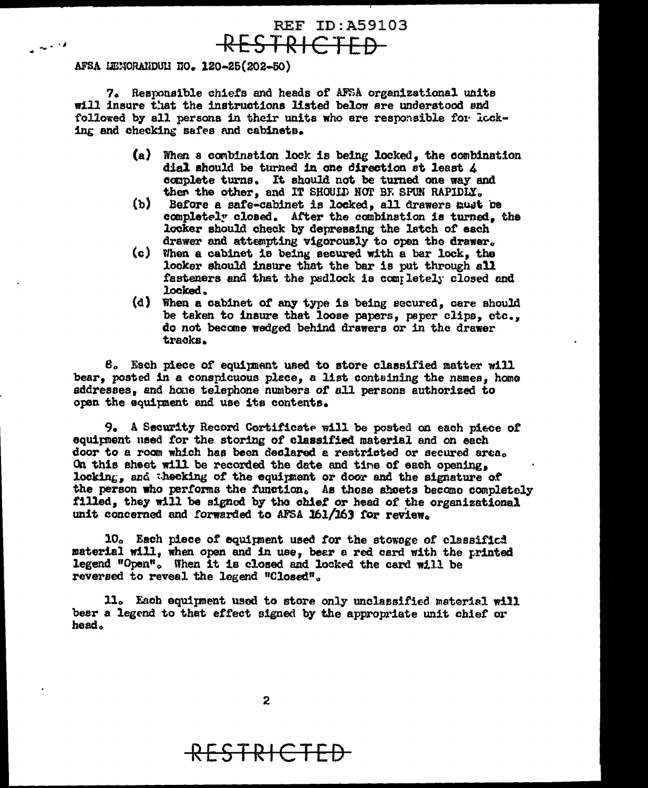## **REF ID: A59103** RESTRICTED

## AFSA LENORANDULI NO. 120-25(202-50)

 $\sim$   $\sim$   $\prime$ 

7. Responsible chiefs and heads of AFSA organizational units will insure that the instructions listed below are understood and followed by all persons in their units who are responsible for locking and checking safes and cabinets.

- (a) When a combination lock is being locked, the combination dial should be turned in one direction at least 4 complete turns. It should not be turned one way and then the other, and IT SHOULD NOT BE SPUN RAPIDLY.
- $(b)$ Before a safe-cabinet is locked, all drawers must be completely closed. After the combination is turned, the locker should check by depressing the latch of each drawer and attempting vigorously to open the drawer.
- (c) When a cabinet is being secured with a bar lock, the locker should insure that the bar is put through all fasteners and that the padlock is completely closed and locked.
- (d) When a cabinet of any type is being secured, care should be taken to insure that loose papers, paper clips, etc., do not become wedged behind drawers or in the drawer tracks.

8. Each piece of equipment used to store classified matter will bear, posted in a conspicuous place, a list containing the names, home addresses, and hone telephone numbers of all persons authorized to open the equipment and use its contents.

9. A Security Record Cortificate will be posted on each piece of equipment used for the storing of classified material and on each door to a room which has been declared a restricted or secured area. On this sheet will be recorded the date and time of each opening. locking, and thecking of the equipment or door and the signature of the person who performs the function. As those shoets become completely filled. they will be signed by the chief or head of the organizational unit concerned and forwarded to AFSA 161/163 for review.

10. Each piece of equipment used for the stowage of classificd material will, when open and in use, bear a red card with the printed legend "Open". When it is closed and locked the card will be reversed to reveal the legend "Closed".

11. Each equipment used to store only unclassified material will beer a legend to that effect signed by the appropriate unit chief or head.

## <del>RESTRICTED</del>